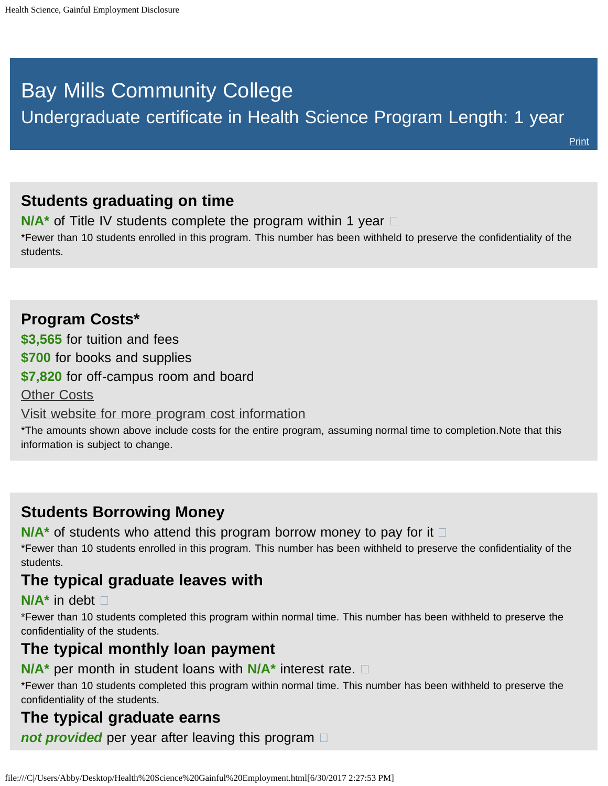# <span id="page-0-0"></span>Bay Mills Community College

**[Print](file:///C|/Users/Abby/Desktop/51.1199-GedtPrint.html)** 

## **Students graduating on time**

**N/A<sup>\*</sup>** of Title IV students complete the program within 1 year  $\Box$ 

\*Fewer than 10 students enrolled in this program. This number has been withheld to preserve the confidentiality of the students.

### **Program Costs\* \$3,565** for tuition and fees **\$700** for books and supplies **\$7,820** for off-campus room and board [Other Costs](#page-0-0) [Visit website for more program cost information](http://bmcc.edu/admissions/financial-aid/understanding-tuition)

\*The amounts shown above include costs for the entire program, assuming normal time to completion.Note that this information is subject to change.

## **Students Borrowing Money**

**N/A<sup>\*</sup>** of students who attend this program borrow money to pay for it  $\Box$ 

\*Fewer than 10 students enrolled in this program. This number has been withheld to preserve the confidentiality of the students.

## **The typical graduate leaves with**

#### **N/A\*** in debt

\*Fewer than 10 students completed this program within normal time. This number has been withheld to preserve the confidentiality of the students.

### **The typical monthly loan payment**

**N/A\*** per month in student loans with **N/A\*** interest rate.

\*Fewer than 10 students completed this program within normal time. This number has been withheld to preserve the confidentiality of the students.

## **The typical graduate earns**

*not provided* per year after leaving this program  $\Box$